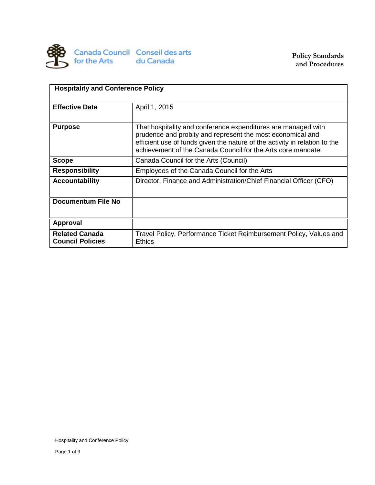

| <b>Hospitality and Conference Policy</b>         |                                                                                                                                                                                                                                                                           |  |  |  |
|--------------------------------------------------|---------------------------------------------------------------------------------------------------------------------------------------------------------------------------------------------------------------------------------------------------------------------------|--|--|--|
| <b>Effective Date</b>                            | April 1, 2015                                                                                                                                                                                                                                                             |  |  |  |
| <b>Purpose</b>                                   | That hospitality and conference expenditures are managed with<br>prudence and probity and represent the most economical and<br>efficient use of funds given the nature of the activity in relation to the<br>achievement of the Canada Council for the Arts core mandate. |  |  |  |
| <b>Scope</b>                                     | Canada Council for the Arts (Council)                                                                                                                                                                                                                                     |  |  |  |
| <b>Responsibility</b>                            | Employees of the Canada Council for the Arts                                                                                                                                                                                                                              |  |  |  |
| <b>Accountability</b>                            | Director, Finance and Administration/Chief Financial Officer (CFO)                                                                                                                                                                                                        |  |  |  |
| <b>Documentum File No</b>                        |                                                                                                                                                                                                                                                                           |  |  |  |
| <b>Approval</b>                                  |                                                                                                                                                                                                                                                                           |  |  |  |
| <b>Related Canada</b><br><b>Council Policies</b> | Travel Policy, Performance Ticket Reimbursement Policy, Values and<br>Ethics                                                                                                                                                                                              |  |  |  |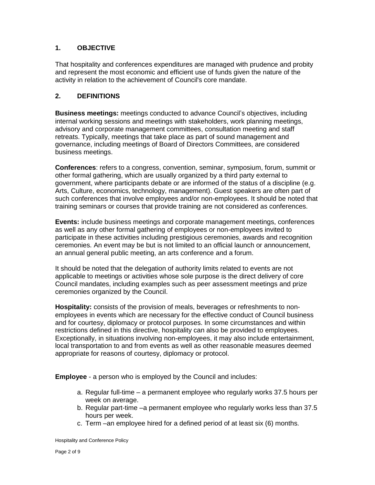# **1. OBJECTIVE**

That hospitality and conferences expenditures are managed with prudence and probity and represent the most economic and efficient use of funds given the nature of the activity in relation to the achievement of Council's core mandate.

# **2. DEFINITIONS**

**Business meetings:** meetings conducted to advance Council's objectives, including internal working sessions and meetings with stakeholders, work planning meetings, advisory and corporate management committees, consultation meeting and staff retreats. Typically, meetings that take place as part of sound management and governance, including meetings of Board of Directors Committees, are considered business meetings.

**Conferences**: refers to a congress, convention, seminar, symposium, forum, summit or other formal gathering, which are usually organized by a third party external to government, where participants debate or are informed of the status of a discipline (e.g. Arts, Culture, economics, technology, management). Guest speakers are often part of such conferences that involve employees and/or non-employees. It should be noted that training seminars or courses that provide training are not considered as conferences.

**Events:** include business meetings and corporate management meetings, conferences as well as any other formal gathering of employees or non-employees invited to participate in these activities including prestigious ceremonies, awards and recognition ceremonies. An event may be but is not limited to an official launch or announcement, an annual general public meeting, an arts conference and a forum.

It should be noted that the delegation of authority limits related to events are not applicable to meetings or activities whose sole purpose is the direct delivery of core Council mandates, including examples such as peer assessment meetings and prize ceremonies organized by the Council.

**Hospitality:** consists of the provision of meals, beverages or refreshments to nonemployees in events which are necessary for the effective conduct of Council business and for courtesy, diplomacy or protocol purposes. In some circumstances and within restrictions defined in this directive, hospitality can also be provided to employees. Exceptionally, in situations involving non-employees, it may also include entertainment, local transportation to and from events as well as other reasonable measures deemed appropriate for reasons of courtesy, diplomacy or protocol.

**Employee** - a person who is employed by the Council and includes:

- a. Regular full-time a permanent employee who regularly works 37.5 hours per week on average.
- b. Regular part-time –a permanent employee who regularly works less than 37.5 hours per week.
- c. Term –an employee hired for a defined period of at least six (6) months.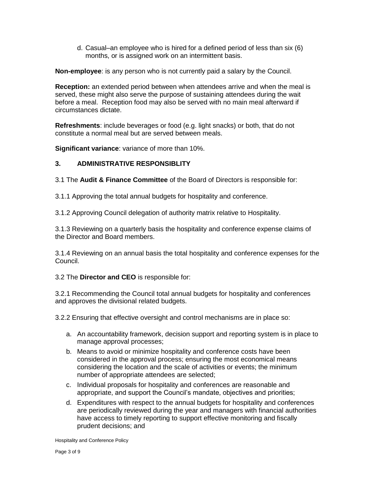d. Casual–an employee who is hired for a defined period of less than six (6) months, or is assigned work on an intermittent basis.

**Non-employee**: is any person who is not currently paid a salary by the Council.

**Reception:** an extended period between when attendees arrive and when the meal is served, these might also serve the purpose of sustaining attendees during the wait before a meal. Reception food may also be served with no main meal afterward if circumstances dictate.

**Refreshments**: include beverages or food (e.g. light snacks) or both, that do not constitute a normal meal but are served between meals.

**Significant variance**: variance of more than 10%.

#### **3. ADMINISTRATIVE RESPONSIBLITY**

3.1 The **Audit & Finance Committee** of the Board of Directors is responsible for:

3.1.1 Approving the total annual budgets for hospitality and conference.

3.1.2 Approving Council delegation of authority matrix relative to Hospitality.

3.1.3 Reviewing on a quarterly basis the hospitality and conference expense claims of the Director and Board members.

3.1.4 Reviewing on an annual basis the total hospitality and conference expenses for the Council.

3.2 The **Director and CEO** is responsible for:

3.2.1 Recommending the Council total annual budgets for hospitality and conferences and approves the divisional related budgets.

3.2.2 Ensuring that effective oversight and control mechanisms are in place so:

- a. An accountability framework, decision support and reporting system is in place to manage approval processes;
- b. Means to avoid or minimize hospitality and conference costs have been considered in the approval process; ensuring the most economical means considering the location and the scale of activities or events; the minimum number of appropriate attendees are selected;
- c. Individual proposals for hospitality and conferences are reasonable and appropriate, and support the Council's mandate, objectives and priorities;
- d. Expenditures with respect to the annual budgets for hospitality and conferences are periodically reviewed during the year and managers with financial authorities have access to timely reporting to support effective monitoring and fiscally prudent decisions; and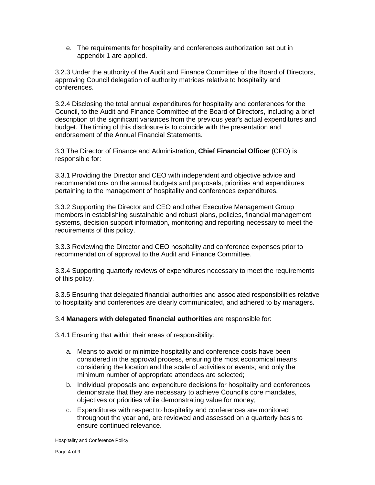e. The requirements for hospitality and conferences authorization set out in appendix 1 are applied.

3.2.3 Under the authority of the Audit and Finance Committee of the Board of Directors, approving Council delegation of authority matrices relative to hospitality and conferences.

3.2.4 Disclosing the total annual expenditures for hospitality and conferences for the Council, to the Audit and Finance Committee of the Board of Directors, including a brief description of the significant variances from the previous year's actual expenditures and budget. The timing of this disclosure is to coincide with the presentation and endorsement of the Annual Financial Statements.

3.3 The Director of Finance and Administration, **Chief Financial Officer** (CFO) is responsible for:

3.3.1 Providing the Director and CEO with independent and objective advice and recommendations on the annual budgets and proposals, priorities and expenditures pertaining to the management of hospitality and conferences expenditures.

3.3.2 Supporting the Director and CEO and other Executive Management Group members in establishing sustainable and robust plans, policies, financial management systems, decision support information, monitoring and reporting necessary to meet the requirements of this policy.

3.3.3 Reviewing the Director and CEO hospitality and conference expenses prior to recommendation of approval to the Audit and Finance Committee.

3.3.4 Supporting quarterly reviews of expenditures necessary to meet the requirements of this policy.

3.3.5 Ensuring that delegated financial authorities and associated responsibilities relative to hospitality and conferences are clearly communicated, and adhered to by managers.

3.4 **Managers with delegated financial authorities** are responsible for:

3.4.1 Ensuring that within their areas of responsibility:

- a. Means to avoid or minimize hospitality and conference costs have been considered in the approval process, ensuring the most economical means considering the location and the scale of activities or events; and only the minimum number of appropriate attendees are selected;
- b. Individual proposals and expenditure decisions for hospitality and conferences demonstrate that they are necessary to achieve Council's core mandates, objectives or priorities while demonstrating value for money;
- c. Expenditures with respect to hospitality and conferences are monitored throughout the year and, are reviewed and assessed on a quarterly basis to ensure continued relevance.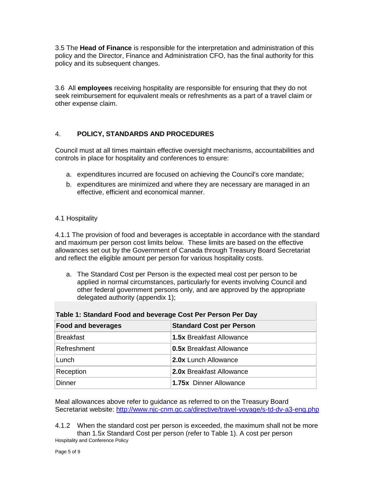3.5 The **Head of Finance** is responsible for the interpretation and administration of this policy and the Director, Finance and Administration CFO, has the final authority for this policy and its subsequent changes.

3.6 All **employees** receiving hospitality are responsible for ensuring that they do not seek reimbursement for equivalent meals or refreshments as a part of a travel claim or other expense claim.

# 4. **POLICY, STANDARDS AND PROCEDURES**

Council must at all times maintain effective oversight mechanisms, accountabilities and controls in place for hospitality and conferences to ensure:

- a. expenditures incurred are focused on achieving the Council's core mandate;
- b. expenditures are minimized and where they are necessary are managed in an effective, efficient and economical manner.

#### 4.1 Hospitality

4.1.1 The provision of food and beverages is acceptable in accordance with the standard and maximum per person cost limits below. These limits are based on the effective allowances set out by the Government of Canada through Treasury Board Secretariat and reflect the eligible amount per person for various hospitality costs.

a. The Standard Cost per Person is the expected meal cost per person to be applied in normal circumstances, particularly for events involving Council and other federal government persons only, and are approved by the appropriate delegated authority (appendix 1);

| Table 1: Standard Food and beverage Cost Per Person Per Day |                                 |  |  |  |
|-------------------------------------------------------------|---------------------------------|--|--|--|
| <b>Food and beverages</b>                                   | <b>Standard Cost per Person</b> |  |  |  |
| <b>Breakfast</b>                                            | <b>1.5x Breakfast Allowance</b> |  |  |  |
| Refreshment                                                 | <b>0.5x Breakfast Allowance</b> |  |  |  |
| Lunch                                                       | 2.0x Lunch Allowance            |  |  |  |
| Reception                                                   | <b>2.0x Breakfast Allowance</b> |  |  |  |
| Dinner                                                      | 1.75x Dinner Allowance          |  |  |  |

Meal allowances above refer to guidance as referred to on the Treasury Board Secretariat website: <http://www.njc-cnm.gc.ca/directive/travel-voyage/s-td-dv-a3-eng.php>

Hospitality and Conference Policy 4.1.2 When the standard cost per person is exceeded, the maximum shall not be more than 1.5x Standard Cost per person (refer to Table 1). A cost per person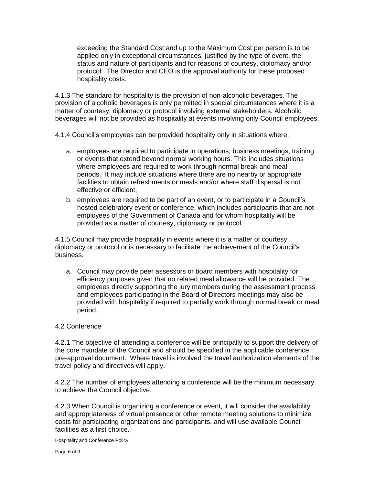exceeding the Standard Cost and up to the Maximum Cost per person is to be applied only in exceptional circumstances, justified by the type of event, the status and nature of participants and for reasons of courtesy, diplomacy and/or protocol. The Director and CEO is the approval authority for these proposed hospitality costs.

4.1.3 The standard for hospitality is the provision of non-alcoholic beverages. The provision of alcoholic beverages is only permitted in special circumstances where it is a matter of courtesy, diplomacy or protocol involving external stakeholders. Alcoholic beverages will not be provided as hospitality at events involving only Council employees.

4.1.4 Council's employees can be provided hospitality only in situations where:

- a. employees are required to participate in operations, business meetings, training or events that extend beyond normal working hours. This includes situations where employees are required to work through normal break and meal periods. It may include situations where there are no nearby or appropriate facilities to obtain [refreshments](http://www.tbs-sct.gc.ca/pol/doc-eng.aspx?id=27228§ion=text#refreshments) or meals and/or where staff dispersal is not effective or efficient;
- b. employees are required to be part of an event, or to participate in a Council's hosted celebratory event or [conference,](http://www.tbs-sct.gc.ca/pol/doc-eng.aspx?id=27228§ion=text#conferences) which includes participants that are not employees of the Government of Canada and for whom hospitality will be provided as a matter of courtesy, diplomacy or protocol.

4.1.5 Council may provide hospitality in events where it is a matter of courtesy, diplomacy or protocol or is necessary to facilitate the achievement of the Council's business.

a. Council may provide peer assessors or board members with hospitality for efficiency purposes given that no related meal allowance will be provided. The employees directly supporting the jury members during the assessment process and employees participating in the Board of Directors meetings may also be provided with hospitality if required to partially work through normal break or meal period.

#### 4.2 Conference

4.2.1 The objective of attending a conference will be principally to support the delivery of the core mandate of the Council and should be specified in the applicable conference pre-approval document. Where travel is involved the travel authorization elements of the travel policy and directives will apply.

4.2.2 The number of employees attending a conference will be the minimum necessary to achieve the Council objective.

4.2.3 When Council is organizing a conference or event, it will consider the availability and appropriateness of virtual presence or other remote meeting solutions to minimize costs for participating organizations and participants, and will use available Council facilities as a first choice.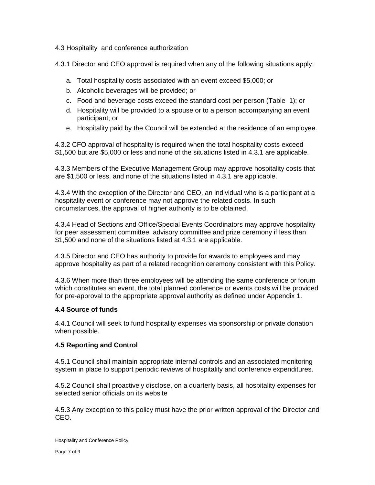4.3 Hospitality and conference authorization

4.3.1 Director and CEO approval is required when any of the following situations apply:

- a. Total hospitality costs associated with an [event](http://www.tbs-sct.gc.ca/pol/doc-eng.aspx?id=27228§ion=text#events) exceed \$5,000; or
- b. Alcoholic beverages will be provided; or
- c. Food and beverage costs exceed the standard cost per person (Table 1); or
- d. Hospitality will be provided to a spouse or to a person accompanying an event participant; or
- e. Hospitality paid by the Council will be extended at the residence of an employee.

4.3.2 CFO approval of hospitality is required when the total hospitality costs exceed \$1,500 but are \$5,000 or less and none of the situations listed in 4.3.1 are applicable.

4.3.3 Members of the Executive Management Group may approve hospitality costs that are \$1,500 or less, and none of the situations listed in 4.3.1 are applicable.

4.3.4 With the exception of the Director and CEO, an individual who is a participant at a hospitality event or conference may not approve the related costs. In such circumstances, the approval of higher authority is to be obtained.

4.3.4 Head of Sections and Office/Special Events Coordinators may approve hospitality for peer assessment committee, advisory committee and prize ceremony if less than \$1,500 and none of the situations listed at 4.3.1 are applicable.

4.3.5 Director and CEO has authority to provide for awards to employees and may approve hospitality as part of a related recognition ceremony consistent with this Policy.

4.3.6 When more than three employees will be attending the same conference or forum which constitutes an event, the total planned conference or events costs will be provided for pre-approval to the appropriate approval authority as defined under Appendix 1.

#### **4.4 Source of funds**

4.4.1 Council will seek to fund hospitality expenses via sponsorship or private donation when possible.

#### **4.5 Reporting and Control**

4.5.1 Council shall maintain appropriate internal controls and an associated monitoring system in place to support periodic reviews of hospitality and conference expenditures.

4.5.2 Council shall proactively disclose, on a quarterly basis, all hospitality expenses for selected senior officials on its website

4.5.3 Any exception to this policy must have the prior written approval of the Director and CEO.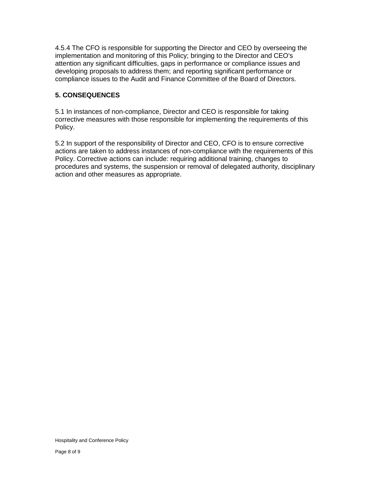4.5.4 The CFO is responsible for supporting the Director and CEO by overseeing the implementation and monitoring of this Policy; bringing to the Director and CEO's attention any significant difficulties, gaps in performance or compliance issues and developing proposals to address them; and reporting significant performance or compliance issues to the Audit and Finance Committee of the Board of Directors.

# **5. CONSEQUENCES**

5.1 In instances of non-compliance, Director and CEO is responsible for taking corrective measures with those responsible for implementing the requirements of this Policy.

5.2 In support of the responsibility of Director and CEO, CFO is to ensure corrective actions are taken to address instances of non-compliance with the requirements of this Policy. Corrective actions can include: requiring additional training, changes to procedures and systems, the suspension or removal of delegated authority, disciplinary action and other measures as appropriate.